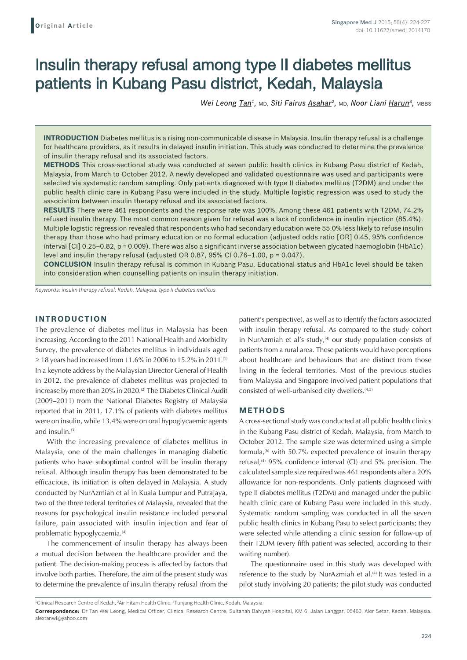# Insulin therapy refusal among type II diabetes mellitus patients in Kubang Pasu district, Kedah, Malaysia

*Wei Leong Tan1,* MD, *Siti Fairus Asahar2,* MD, *Noor Liani Harun3,* MBBS

**INTRODUCTION** Diabetes mellitus is a rising non-communicable disease in Malaysia. Insulin therapy refusal is a challenge for healthcare providers, as it results in delayed insulin initiation. This study was conducted to determine the prevalence of insulin therapy refusal and its associated factors.

**METHODS** This cross-sectional study was conducted at seven public health clinics in Kubang Pasu district of Kedah, Malaysia, from March to October 2012. A newly developed and validated questionnaire was used and participants were selected via systematic random sampling. Only patients diagnosed with type II diabetes mellitus (T2DM) and under the public health clinic care in Kubang Pasu were included in the study. Multiple logistic regression was used to study the association between insulin therapy refusal and its associated factors.

**RESULTS** There were 461 respondents and the response rate was 100%. Among these 461 patients with T2DM, 74.2% refused insulin therapy. The most common reason given for refusal was a lack of confidence in insulin injection (85.4%). Multiple logistic regression revealed that respondents who had secondary education were 55.0% less likely to refuse insulin therapy than those who had primary education or no formal education (adjusted odds ratio [OR] 0.45, 95% confidence interval [CI] 0.25–0.82, p = 0.009). There was also a significant inverse association between glycated haemoglobin (HbA1c) level and insulin therapy refusal (adjusted OR 0.87, 95% CI 0.76–1.00,  $p = 0.047$ ).

**CONCLUSION** Insulin therapy refusal is common in Kubang Pasu. Educational status and HbA1c level should be taken into consideration when counselling patients on insulin therapy initiation.

*Keywords: insulin therapy refusal, Kedah, Malaysia, type II diabetes mellitus*

## **INTRODUCTION**

The prevalence of diabetes mellitus in Malaysia has been increasing. According to the 2011 National Health and Morbidity Survey, the prevalence of diabetes mellitus in individuals aged ≥ 18 years had increased from 11.6% in 2006 to 15.2% in 2011.<sup>(1)</sup> In a keynote address by the Malaysian Director General of Health in 2012, the prevalence of diabetes mellitus was projected to increase by more than 20% in 2020.<sup>(2)</sup> The Diabetes Clinical Audit (2009–2011) from the National Diabetes Registry of Malaysia reported that in 2011, 17.1% of patients with diabetes mellitus were on insulin, while 13.4% were on oral hypoglycaemic agents and insulin.<sup>(3)</sup>

With the increasing prevalence of diabetes mellitus in Malaysia, one of the main challenges in managing diabetic patients who have suboptimal control will be insulin therapy refusal. Although insulin therapy has been demonstrated to be efficacious, its initiation is often delayed in Malaysia. A study conducted by NurAzmiah et al in Kuala Lumpur and Putrajaya, two of the three federal territories of Malaysia, revealed that the reasons for psychological insulin resistance included personal failure, pain associated with insulin injection and fear of problematic hypoglycaemia.<sup>(4)</sup>

The commencement of insulin therapy has always been a mutual decision between the healthcare provider and the patient. The decision-making process is affected by factors that involve both parties. Therefore, the aim of the present study was to determine the prevalence of insulin therapy refusal (from the patient's perspective), as well as to identify the factors associated with insulin therapy refusal. As compared to the study cohort in NurAzmiah et al's study, $(4)$  our study population consists of patients from a rural area. These patients would have perceptions about healthcare and behaviours that are distinct from those living in the federal territories. Most of the previous studies from Malaysia and Singapore involved patient populations that consisted of well-urbanised city dwellers.<sup>(4,5)</sup>

#### **METHODS**

A cross-sectional study was conducted at all public health clinics in the Kubang Pasu district of Kedah, Malaysia, from March to October 2012. The sample size was determined using a simple formula, $^{(6)}$  with 50.7% expected prevalence of insulin therapy refusal,<sup>(4)</sup> 95% confidence interval (CI) and 5% precision. The calculated sample size required was 461 respondents after a 20% allowance for non-respondents. Only patients diagnosed with type II diabetes mellitus (T2DM) and managed under the public health clinic care of Kubang Pasu were included in this study. Systematic random sampling was conducted in all the seven public health clinics in Kubang Pasu to select participants; they were selected while attending a clinic session for follow-up of their T2DM (every fifth patient was selected, according to their waiting number).

The questionnaire used in this study was developed with reference to the study by NurAzmiah et al.<sup>(4)</sup> It was tested in a pilot study involving 20 patients; the pilot study was conducted

<sup>1</sup> Clinical Research Centre of Kedah, 2 Air Hitam Health Clinic, 3 Tunjang Health Clinic, Kedah, Malaysia

**Correspondence:** Dr Tan Wei Leong, Medical Officer, Clinical Research Centre, Sultanah Bahiyah Hospital, KM 6, Jalan Langgar, 05460, Alor Setar, Kedah, Malaysia. alextanwl@yahoo.com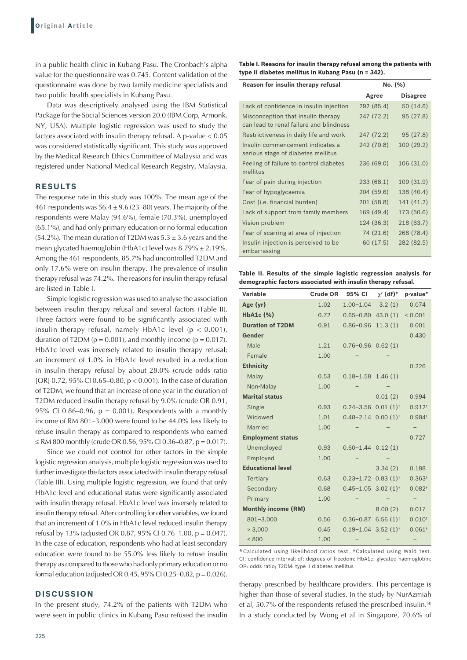in a public health clinic in Kubang Pasu. The Cronbach's alpha value for the questionnaire was 0.745. Content validation of the questionnaire was done by two family medicine specialists and two public health specialists in Kubang Pasu.

Data was descriptively analysed using the IBM Statistical Package for the Social Sciences version 20.0 (IBM Corp, Armonk, NY, USA). Multiple logistic regression was used to study the factors associated with insulin therapy refusal. A p-value < 0.05 was considered statistically significant. This study was approved by the Medical Research Ethics Committee of Malaysia and was registered under National Medical Research Registry, Malaysia.

## **RESULTS**

The response rate in this study was 100%. The mean age of the 461 respondents was  $56.4 \pm 9.6$  (23–80) years. The majority of the respondents were Malay (94.6%), female (70.3%), unemployed (65.1%), and had only primary education or no formal education (54.2%). The mean duration of T2DM was  $5.3 \pm 3.6$  years and the mean glycated haemoglobin (HbA1c) level was  $8.79\% \pm 2.19\%$ . Among the 461 respondents, 85.7% had uncontrolled T2DM and only 17.6% were on insulin therapy. The prevalence of insulin therapy refusal was 74.2%. The reasons for insulin therapy refusal are listed in Table I.

Simple logistic regression was used to analyse the association between insulin therapy refusal and several factors (Table II). Three factors were found to be significantly associated with insulin therapy refusal, namely HbA1c level ( $p < 0.001$ ), duration of T2DM ( $p = 0.001$ ), and monthly income ( $p = 0.017$ ). HbA1c level was inversely related to insulin therapy refusal; an increment of 1.0% in HbA1c level resulted in a reduction in insulin therapy refusal by about 28.0% (crude odds ratio [OR] 0.72, 95% CI 0.65–0.80, p < 0.001). In the case of duration of T2DM, we found that an increase of one year in the duration of T2DM reduced insulin therapy refusal by 9.0% (crude OR 0.91, 95% CI 0.86–0.96,  $p = 0.001$ ). Respondents with a monthly income of RM 801–3,000 were found to be 44.0% less likely to refuse insulin therapy as compared to respondents who earned ≤ RM 800 monthly (crude OR 0.56, 95% CI 0.36–0.87, p = 0.017).

Since we could not control for other factors in the simple logistic regression analysis, multiple logistic regression was used to further investigate the factors associated with insulin therapy refusal (Table III). Using multiple logistic regression, we found that only HbA1c level and educational status were significantly associated with insulin therapy refusal. HbA1c level was inversely related to insulin therapy refusal. After controlling for other variables, we found that an increment of 1.0% in HbA1c level reduced insulin therapy refusal by 13% (adjusted OR 0.87, 95% CI 0.76–1.00, p = 0.047). In the case of education, respondents who had at least secondary education were found to be 55.0% less likely to refuse insulin therapy as compared to those who had only primary education or no formal education (adjusted OR 0.45, 95% CI 0.25-0.82,  $p = 0.026$ ).

#### **DISCUSSION**

In the present study, 74.2% of the patients with T2DM who were seen in public clinics in Kubang Pasu refused the insulin

**Table I. Reasons for insulin therapy refusal among the patients with type II diabetes mellitus in Kubang Pasu (n = 342).**

| Reason for insulin therapy refusal                                            | No. (%)    |                 |
|-------------------------------------------------------------------------------|------------|-----------------|
|                                                                               | Agree      | <b>Disagree</b> |
| Lack of confidence in insulin injection                                       | 292 (85.4) | 50 (14.6)       |
| Misconception that insulin therapy<br>can lead to renal failure and blindness | 247 (72.2) | 95 (27.8)       |
| Restrictiveness in daily life and work                                        | 247 (72.2) | 95 (27.8)       |
| Insulin commencement indicates a<br>serious stage of diabetes mellitus        | 242 (70.8) | 100 (29.2)      |
| Feeling of failure to control diabetes<br>mellitus                            | 236 (69.0) | 106 (31.0)      |
| Fear of pain during injection                                                 | 233 (68.1) | 109 (31.9)      |
| Fear of hypoglycaemia                                                         | 204 (59.6) | 138 (40.4)      |
| Cost ( <i>i.e.</i> financial burden)                                          | 201 (58.8) | 141 (41.2)      |
| Lack of support from family members                                           | 169 (49.4) | 173 (50.6)      |
| Vision problem                                                                | 124 (36.3) | 218 (63.7)      |
| Fear of scarring at area of injection                                         | 74 (21.6)  | 268 (78.4)      |
| Insulin injection is perceived to be<br>embarrassing                          | 60 (17.5)  | 282 (82.5)      |

**Table II. Results of the simple logistic regression analysis for demographic factors associated with insulin therapy refusal.**

| <b>Variable</b>            | <b>Crude OR</b> | 95% CI                              | $\gamma^2$ (df) <sup>*</sup> | p-value*             |
|----------------------------|-----------------|-------------------------------------|------------------------------|----------------------|
| Age (yr)                   | 1.02            | $1.00 - 1.04$                       | 3.2(1)                       | 0.074                |
| HbA1c (%)                  | 0.72            | $0.65 - 0.80$                       | 43.0(1)                      | < 0.001              |
| <b>Duration of T2DM</b>    | 0.91            | $0.86 - 0.96$                       | 11.3(1)                      | 0.001                |
| Gender                     |                 |                                     |                              | 0.430                |
| Male                       | 1.21            | $0.76 - 0.96$ $0.62$ (1)            |                              |                      |
| Female                     | 1.00            |                                     |                              |                      |
| <b>Ethnicity</b>           |                 |                                     |                              | 0.226                |
| Malay                      | 0.53            | $0.18 - 1.58$ 1.46 (1)              |                              |                      |
| Non-Malay                  | 1.00            |                                     |                              |                      |
| <b>Marital status</b>      |                 |                                     | 0.01(2)                      | 0.994                |
| Single                     | 0.93            | $0.24 - 3.56$                       | $0.01(1)^{t}$                | $0.912*$             |
| Widowed                    | 1.01            | $0.48 - 2.14$ $0.00$ $(1)^+$        |                              | $0.984*$             |
| Married                    | 1.00            |                                     |                              |                      |
| <b>Employment status</b>   |                 |                                     |                              | 0.727                |
| Unemployed                 | 0.93            | $0.60 - 1.44$ $0.12$ (1)            |                              |                      |
| Employed                   | 1.00            |                                     |                              |                      |
| <b>Educational level</b>   |                 |                                     | 3.34(2)                      | 0.188                |
| Tertiary                   | 0.63            | $0.23 - 1.72$                       | $0.83(1)$ <sup>+</sup>       | $0.363*$             |
| Secondary                  | 0.68            | $0.45 - 1.05$ 3.02 (1) <sup>+</sup> |                              | $0.082*$             |
| Primary                    | 1.00            |                                     |                              |                      |
| <b>Monthly income (RM)</b> |                 |                                     | 8.00(2)                      | 0.017                |
| $801 - 3,000$              | 0.56            | $0.36 - 0.87$                       | $6.56(1)$ <sup>+</sup>       | $0.010^{+}$          |
| > 3,000                    | 0.45            | $0.19 - 1.04$ 3.52 (1) <sup>+</sup> |                              | $0.061$ <sup>+</sup> |
| $\leq 800$                 | 1.00            |                                     |                              |                      |

\*Calculated using likelihood ratios test. †Calculated using Wald test. CI: confidence interval; df: degrees of freedom; HbA1c: glycated haemoglobin; OR: odds ratio; T2DM: type II diabetes mellitus

therapy prescribed by healthcare providers. This percentage is higher than those of several studies. In the study by NurAzmiah et al, 50.7% of the respondents refused the prescribed insulin.<sup>(4)</sup> In a study conducted by Wong et al in Singapore, 70.6% of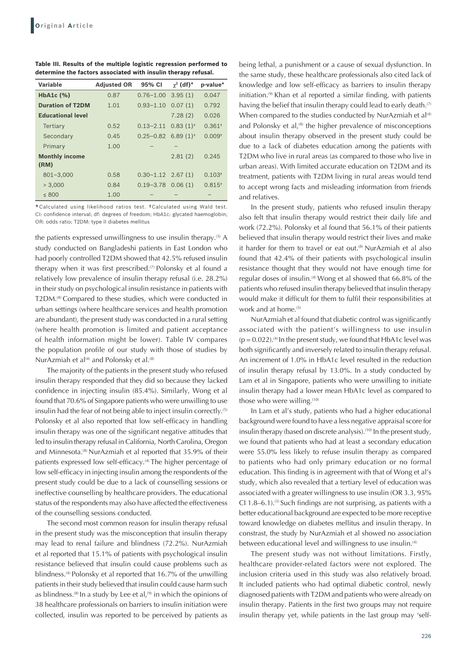|                                                                | Table III. Results of the multiple logistic regression performed to |
|----------------------------------------------------------------|---------------------------------------------------------------------|
| determine the factors associated with insulin therapy refusal. |                                                                     |

| Variable                 | <b>Adjusted OR</b> | 95% CI                              | $\gamma^2$ (df) <sup>*</sup> | p-value*             |
|--------------------------|--------------------|-------------------------------------|------------------------------|----------------------|
| $HbA1c$ $(\% )$          | 0.87               | $0.76 - 1.00$ 3.95 (1)              |                              | 0.047                |
| <b>Duration of T2DM</b>  | 1.01               | $0.93 - 1.10$                       | 0.07(1)                      | 0.792                |
| <b>Educational level</b> |                    |                                     | 7.28(2)                      | 0.026                |
| Tertiary                 | 0.52               | $0.13 - 2.11$                       | $0.83(1)$ <sup>+</sup>       | $0.361$ <sup>t</sup> |
| Secondary                | 0.45               | $0.25 - 0.82$ 6.89 (1) <sup>+</sup> |                              | 0.009 <sup>†</sup>   |
| Primary                  | 1.00               |                                     |                              |                      |
| <b>Monthly income</b>    |                    |                                     | 2.81(2)                      | 0.245                |
| (RM)                     |                    |                                     |                              |                      |
| $801 - 3,000$            | 0.58               | $0.30 - 1.12$ 2.67 (1)              |                              | 0.103 <sup>†</sup>   |
| > 3,000                  | 0.84               | $0.19 - 3.78$ 0.06 (1)              |                              | $0.815$ <sup>+</sup> |
| $\leq 800$               | 1.00               |                                     |                              |                      |

\*Calculated using likelihood ratios test. †Calculated using Wald test. CI: confidence interval; df: degrees of freedom; HbA1c: glycated haemoglobin; OR: odds ratio; T2DM: type II diabetes mellitus

the patients expressed unwillingness to use insulin therapy.<sup>(5)</sup> A study conducted on Bangladeshi patients in East London who had poorly controlled T2DM showed that 42.5% refused insulin therapy when it was first prescribed.<sup>(7)</sup> Polonsky et al found a relatively low prevalence of insulin therapy refusal (i.e. 28.2%) in their study on psychological insulin resistance in patients with T2DM.(8) Compared to these studies, which were conducted in urban settings (where healthcare services and health promotion are abundant), the present study was conducted in a rural setting (where health promotion is limited and patient acceptance of health information might be lower). Table IV compares the population profile of our study with those of studies by NurAzmiah et al<sup>(4)</sup> and Polonsky et al.<sup>(8)</sup>

The majority of the patients in the present study who refused insulin therapy responded that they did so because they lacked confidence in injecting insulin (85.4%). Similarly, Wong et al found that 70.6% of Singapore patients who were unwilling to use insulin had the fear of not being able to inject insulin correctly.(5) Polonsky et al also reported that low self-efficacy in handling insulin therapy was one of the significant negative attitudes that led to insulin therapy refusal in California, North Carolina, Oregon and Minnesota.<sup>(8)</sup> NurAzmiah et al reported that 35.9% of their patients expressed low self-efficacy.<sup>(4)</sup> The higher percentage of low self-efficacy in injecting insulin among the respondents of the present study could be due to a lack of counselling sessions or ineffective counselling by healthcare providers. The educational status of the respondents may also have affected the effectiveness of the counselling sessions conducted.

The second most common reason for insulin therapy refusal in the present study was the misconception that insulin therapy may lead to renal failure and blindness (72.2%). NurAzmiah et al reported that 15.1% of patients with psychological insulin resistance believed that insulin could cause problems such as blindness.<sup>(4)</sup> Polonsky et al reported that 16.7% of the unwilling patients in their study believed that insulin could cause harm such as blindness.<sup>(8)</sup> In a study by Lee et al,<sup>(9)</sup> in which the opinions of 38 healthcare professionals on barriers to insulin initiation were collected, insulin was reported to be perceived by patients as

being lethal, a punishment or a cause of sexual dysfunction. In the same study, these healthcare professionals also cited lack of knowledge and low self-efficacy as barriers to insulin therapy initiation.<sup>(9)</sup> Khan et al reported a similar finding, with patients having the belief that insulin therapy could lead to early death.<sup>(7)</sup> When compared to the studies conducted by NurAzmiah et al<sup>(4)</sup> and Polonsky et al,<sup>(8)</sup> the higher prevalence of misconceptions about insulin therapy observed in the present study could be due to a lack of diabetes education among the patients with T2DM who live in rural areas (as compared to those who live in urban areas). With limited accurate education on T2DM and its treatment, patients with T2DM living in rural areas would tend to accept wrong facts and misleading information from friends and relatives.

In the present study, patients who refused insulin therapy also felt that insulin therapy would restrict their daily life and work (72.2%). Polonsky et al found that 56.1% of their patients believed that insulin therapy would restrict their lives and make it harder for them to travel or eat out.<sup>(8)</sup> NurAzmiah et al also found that 42.4% of their patients with psychological insulin resistance thought that they would not have enough time for regular doses of insulin.<sup>(4)</sup> Wong et al showed that 66.8% of the patients who refused insulin therapy believed that insulin therapy would make it difficult for them to fulfil their responsibilities at work and at home.<sup>(5)</sup>

NurAzmiah et al found that diabetic control was significantly associated with the patient's willingness to use insulin  $(p = 0.022)$ .<sup>(4)</sup> In the present study, we found that HbA1c level was both significantly and inversely related to insulin therapy refusal. An increment of 1.0% in HbA1c level resulted in the reduction of insulin therapy refusal by 13.0%. In a study conducted by Lam et al in Singapore, patients who were unwilling to initiate insulin therapy had a lower mean HbA1c level as compared to those who were willing.<sup>(10)</sup>

In Lam et al's study, patients who had a higher educational background were found to have a less negative appraisal score for insulin therapy (based on discrete analysis).<sup>(10)</sup> In the present study, we found that patients who had at least a secondary education were 55.0% less likely to refuse insulin therapy as compared to patients who had only primary education or no formal education. This finding is in agreement with that of Wong et al's study, which also revealed that a tertiary level of education was associated with a greater willingness to use insulin (OR 3.3, 95% CI 1.8–6.1).<sup>(5)</sup> Such findings are not surprising, as patients with a better educational background are expected to be more receptive toward knowledge on diabetes mellitus and insulin therapy. In constrast, the study by NurAzmiah et al showed no association between educational level and willingness to use insulin.<sup>(4)</sup>

The present study was not without limitations. Firstly, healthcare provider-related factors were not explored. The inclusion criteria used in this study was also relatively broad. It included patients who had optimal diabetic control, newly diagnosed patients with T2DM and patients who were already on insulin therapy. Patients in the first two groups may not require insulin therapy yet, while patients in the last group may 'self-